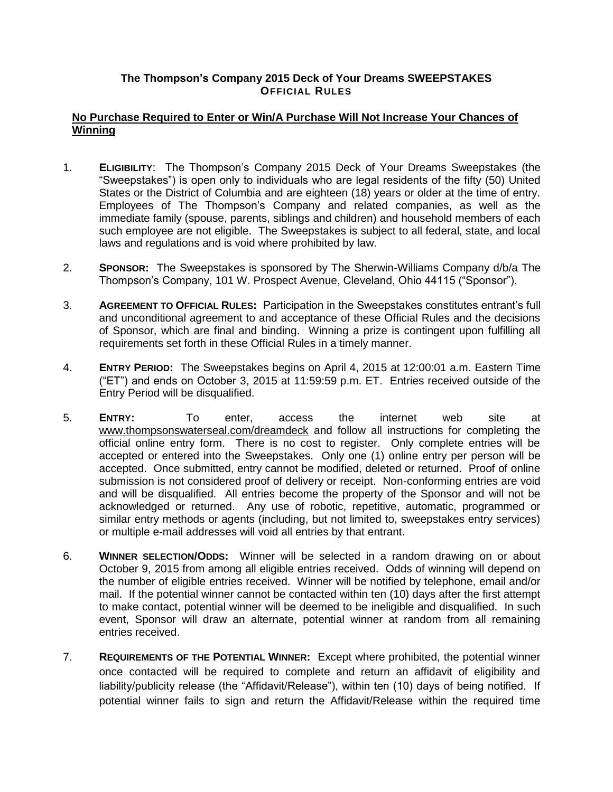## **The Thompson's Company 2015 Deck of Your Dreams SWEEPSTAKES OFFICIAL RULES**

## **No Purchase Required to Enter or Win/A Purchase Will Not Increase Your Chances of Winning**

- 1. **ELIGIBILITY**: The Thompson's Company 2015 Deck of Your Dreams Sweepstakes (the "Sweepstakes") is open only to individuals who are legal residents of the fifty (50) United States or the District of Columbia and are eighteen (18) years or older at the time of entry. Employees of The Thompson's Company and related companies, as well as the immediate family (spouse, parents, siblings and children) and household members of each such employee are not eligible. The Sweepstakes is subject to all federal, state, and local laws and regulations and is void where prohibited by law.
- 2. **SPONSOR:** The Sweepstakes is sponsored by The Sherwin-Williams Company d/b/a The Thompson's Company, 101 W. Prospect Avenue, Cleveland, Ohio 44115 ("Sponsor").
- 3. **AGREEMENT TO OFFICIAL RULES:** Participation in the Sweepstakes constitutes entrant's full and unconditional agreement to and acceptance of these Official Rules and the decisions of Sponsor, which are final and binding. Winning a prize is contingent upon fulfilling all requirements set forth in these Official Rules in a timely manner.
- 4. **ENTRY PERIOD:** The Sweepstakes begins on April 4, 2015 at 12:00:01 a.m. Eastern Time ("ET") and ends on October 3, 2015 at 11:59:59 p.m. ET. Entries received outside of the Entry Period will be disqualified.
- 5. **ENTRY:** To enter, access the internet web site at [www.thompsonswaterseal.com/](http://www.thompsonsonline.com/)dreamdeck and follow all instructions for completing the official online entry form. There is no cost to register. Only complete entries will be accepted or entered into the Sweepstakes. Only one (1) online entry per person will be accepted. Once submitted, entry cannot be modified, deleted or returned. Proof of online submission is not considered proof of delivery or receipt. Non-conforming entries are void and will be disqualified. All entries become the property of the Sponsor and will not be acknowledged or returned. Any use of robotic, repetitive, automatic, programmed or similar entry methods or agents (including, but not limited to, sweepstakes entry services) or multiple e-mail addresses will void all entries by that entrant.
- 6. **WINNER SELECTION/ODDS:** Winner will be selected in a random drawing on or about October 9, 2015 from among all eligible entries received. Odds of winning will depend on the number of eligible entries received. Winner will be notified by telephone, email and/or mail. If the potential winner cannot be contacted within ten (10) days after the first attempt to make contact, potential winner will be deemed to be ineligible and disqualified. In such event, Sponsor will draw an alternate, potential winner at random from all remaining entries received.
- 7. **REQUIREMENTS OF THE POTENTIAL WINNER:** Except where prohibited, the potential winner once contacted will be required to complete and return an affidavit of eligibility and liability/publicity release (the "Affidavit/Release"), within ten (10) days of being notified. If potential winner fails to sign and return the Affidavit/Release within the required time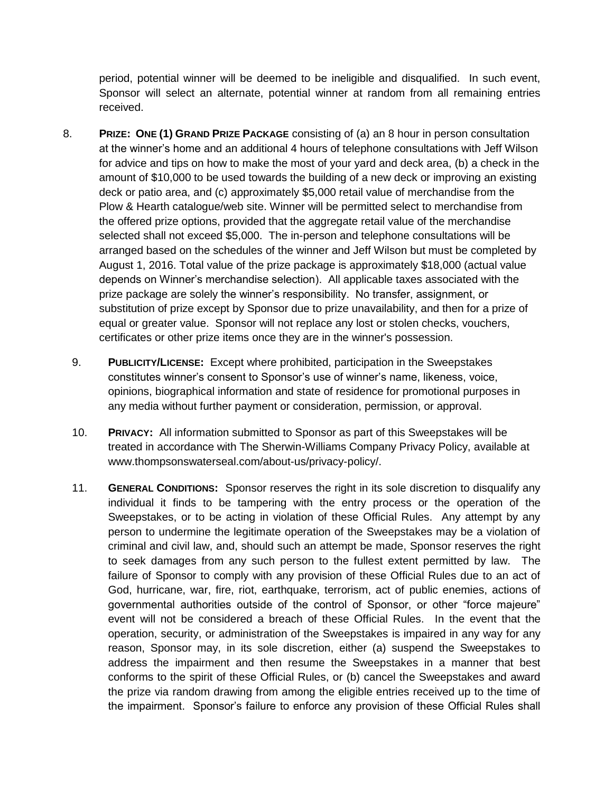period, potential winner will be deemed to be ineligible and disqualified. In such event, Sponsor will select an alternate, potential winner at random from all remaining entries received.

- 8. **PRIZE: ONE (1) GRAND PRIZE PACKAGE** consisting of (a) an 8 hour in person consultation at the winner's home and an additional 4 hours of telephone consultations with Jeff Wilson for advice and tips on how to make the most of your yard and deck area, (b) a check in the amount of \$10,000 to be used towards the building of a new deck or improving an existing deck or patio area, and (c) approximately \$5,000 retail value of merchandise from the Plow & Hearth catalogue/web site. Winner will be permitted select to merchandise from the offered prize options, provided that the aggregate retail value of the merchandise selected shall not exceed \$5,000. The in-person and telephone consultations will be arranged based on the schedules of the winner and Jeff Wilson but must be completed by August 1, 2016. Total value of the prize package is approximately \$18,000 (actual value depends on Winner's merchandise selection). All applicable taxes associated with the prize package are solely the winner's responsibility. No transfer, assignment, or substitution of prize except by Sponsor due to prize unavailability, and then for a prize of equal or greater value. Sponsor will not replace any lost or stolen checks, vouchers, certificates or other prize items once they are in the winner's possession.
	- 9. **PUBLICITY/LICENSE:** Except where prohibited, participation in the Sweepstakes constitutes winner's consent to Sponsor's use of winner's name, likeness, voice, opinions, biographical information and state of residence for promotional purposes in any media without further payment or consideration, permission, or approval.
	- 10. **PRIVACY:** All information submitted to Sponsor as part of this Sweepstakes will be treated in accordance with The Sherwin-Williams Company Privacy Policy, available at www.thompsonswaterseal.com/about-us/privacy-policy/.
	- 11. **GENERAL CONDITIONS:** Sponsor reserves the right in its sole discretion to disqualify any individual it finds to be tampering with the entry process or the operation of the Sweepstakes, or to be acting in violation of these Official Rules. Any attempt by any person to undermine the legitimate operation of the Sweepstakes may be a violation of criminal and civil law, and, should such an attempt be made, Sponsor reserves the right to seek damages from any such person to the fullest extent permitted by law. The failure of Sponsor to comply with any provision of these Official Rules due to an act of God, hurricane, war, fire, riot, earthquake, terrorism, act of public enemies, actions of governmental authorities outside of the control of Sponsor, or other "force majeure" event will not be considered a breach of these Official Rules. In the event that the operation, security, or administration of the Sweepstakes is impaired in any way for any reason, Sponsor may, in its sole discretion, either (a) suspend the Sweepstakes to address the impairment and then resume the Sweepstakes in a manner that best conforms to the spirit of these Official Rules, or (b) cancel the Sweepstakes and award the prize via random drawing from among the eligible entries received up to the time of the impairment. Sponsor's failure to enforce any provision of these Official Rules shall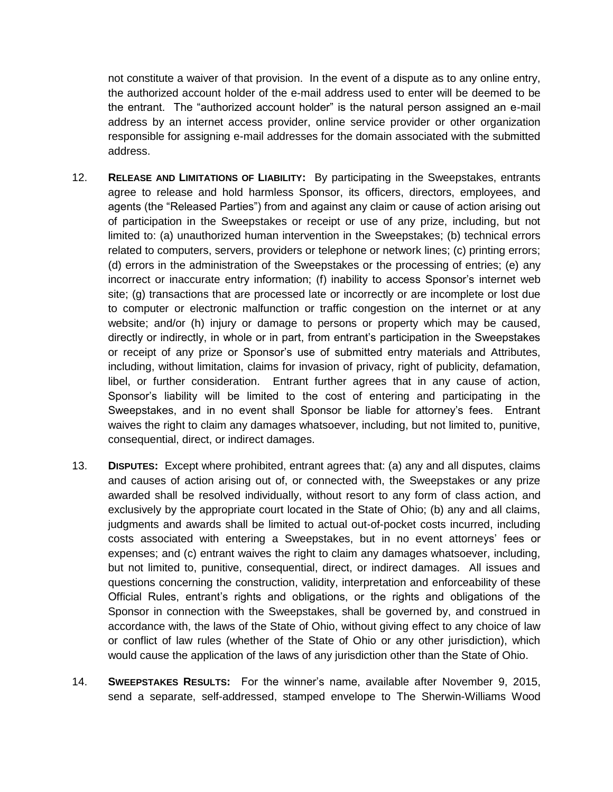not constitute a waiver of that provision. In the event of a dispute as to any online entry, the authorized account holder of the e-mail address used to enter will be deemed to be the entrant. The "authorized account holder" is the natural person assigned an e-mail address by an internet access provider, online service provider or other organization responsible for assigning e-mail addresses for the domain associated with the submitted address.

- 12. **RELEASE AND LIMITATIONS OF LIABILITY:** By participating in the Sweepstakes, entrants agree to release and hold harmless Sponsor, its officers, directors, employees, and agents (the "Released Parties") from and against any claim or cause of action arising out of participation in the Sweepstakes or receipt or use of any prize, including, but not limited to: (a) unauthorized human intervention in the Sweepstakes; (b) technical errors related to computers, servers, providers or telephone or network lines; (c) printing errors; (d) errors in the administration of the Sweepstakes or the processing of entries; (e) any incorrect or inaccurate entry information; (f) inability to access Sponsor's internet web site; (g) transactions that are processed late or incorrectly or are incomplete or lost due to computer or electronic malfunction or traffic congestion on the internet or at any website; and/or (h) injury or damage to persons or property which may be caused, directly or indirectly, in whole or in part, from entrant's participation in the Sweepstakes or receipt of any prize or Sponsor's use of submitted entry materials and Attributes, including, without limitation, claims for invasion of privacy, right of publicity, defamation, libel, or further consideration. Entrant further agrees that in any cause of action, Sponsor's liability will be limited to the cost of entering and participating in the Sweepstakes, and in no event shall Sponsor be liable for attorney's fees. Entrant waives the right to claim any damages whatsoever, including, but not limited to, punitive, consequential, direct, or indirect damages.
- 13. **DISPUTES:** Except where prohibited, entrant agrees that: (a) any and all disputes, claims and causes of action arising out of, or connected with, the Sweepstakes or any prize awarded shall be resolved individually, without resort to any form of class action, and exclusively by the appropriate court located in the State of Ohio; (b) any and all claims, judgments and awards shall be limited to actual out-of-pocket costs incurred, including costs associated with entering a Sweepstakes, but in no event attorneys' fees or expenses; and (c) entrant waives the right to claim any damages whatsoever, including, but not limited to, punitive, consequential, direct, or indirect damages. All issues and questions concerning the construction, validity, interpretation and enforceability of these Official Rules, entrant's rights and obligations, or the rights and obligations of the Sponsor in connection with the Sweepstakes, shall be governed by, and construed in accordance with, the laws of the State of Ohio, without giving effect to any choice of law or conflict of law rules (whether of the State of Ohio or any other jurisdiction), which would cause the application of the laws of any jurisdiction other than the State of Ohio.
- 14. **SWEEPSTAKES RESULTS:** For the winner's name, available after November 9, 2015, send a separate, self-addressed, stamped envelope to The Sherwin-Williams Wood